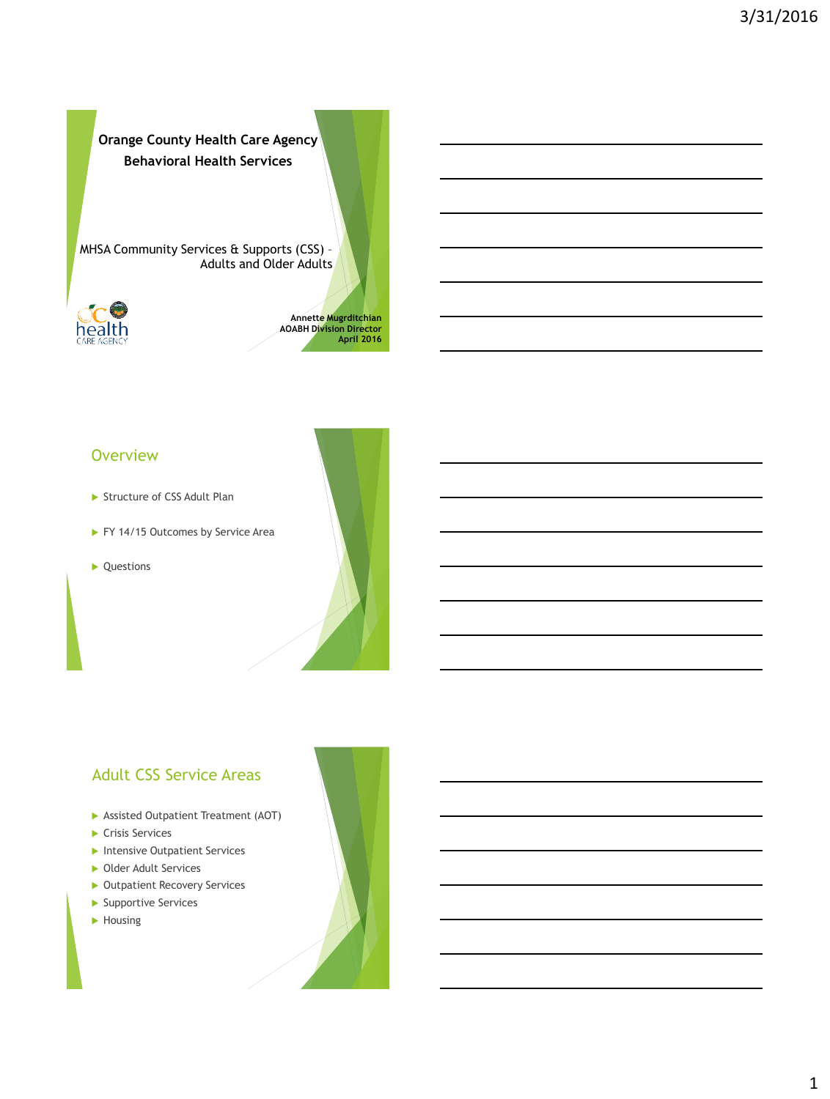**Orange County Health Care Agency Behavioral Health Services**

MHSA Community Services & Supports (CSS) – Adults and Older Adults



1 **Annette Mugrditchian AOABH Division Director April 2016**

#### **Overview**

- Structure of CSS Adult Plan
- FY 14/15 Outcomes by Service Area
- ▶ Questions



#### Adult CSS Service Areas

- Assisted Outpatient Treatment (AOT)
- ▶ Crisis Services
- **Intensive Outpatient Services**
- ▶ Older Adult Services
- **Dutpatient Recovery Services**
- Supportive Services
- ▶ Housing

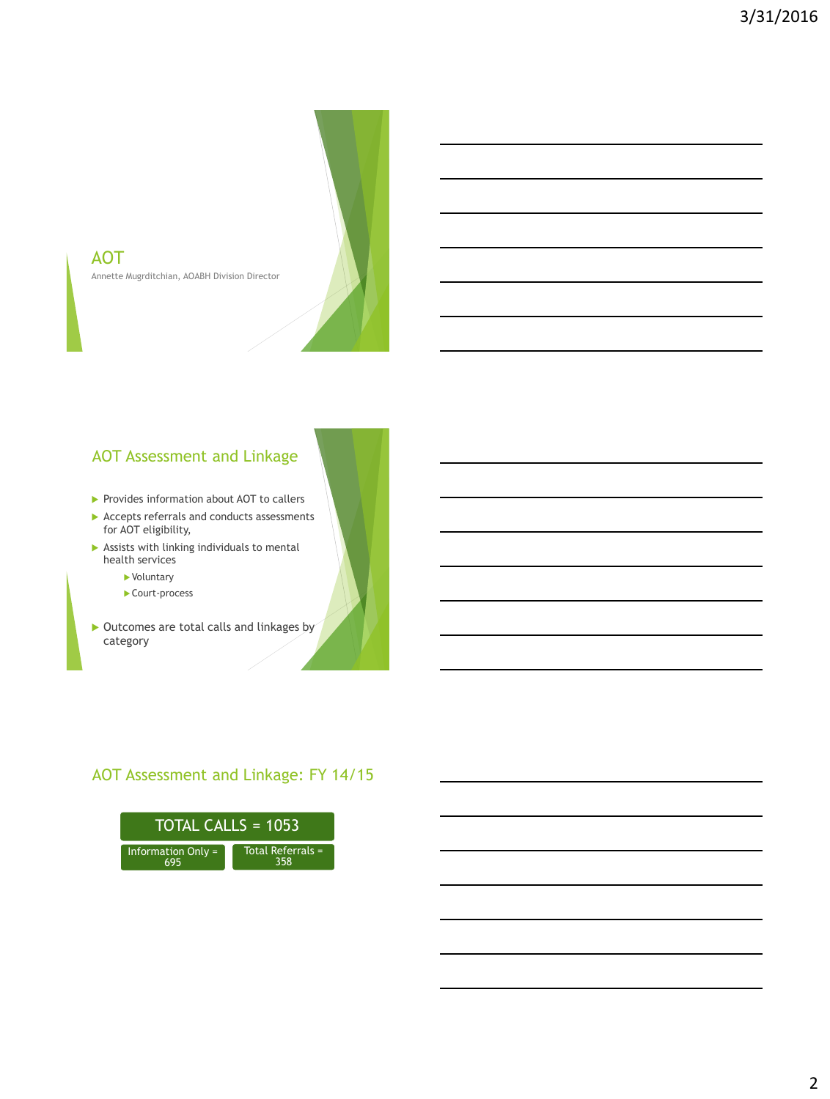

# AOT Assessment and Linkage

Annette Mugrditchian, AOABH Division Director

- Provides information about AOT to callers
- Accepts referrals and conducts assessments for AOT eligibility,
- $\blacktriangleright$  Assists with linking individuals to mental health services
	- Voluntary

AOT

- ▶ Court-process
- $\triangleright$  Outcomes are total calls and linkages by category

### AOT Assessment and Linkage: FY 14/15

| TOTAL CALLS = $1053$      |                          |  |
|---------------------------|--------------------------|--|
| <b>Information Only =</b> | Total Referrals =<br>358 |  |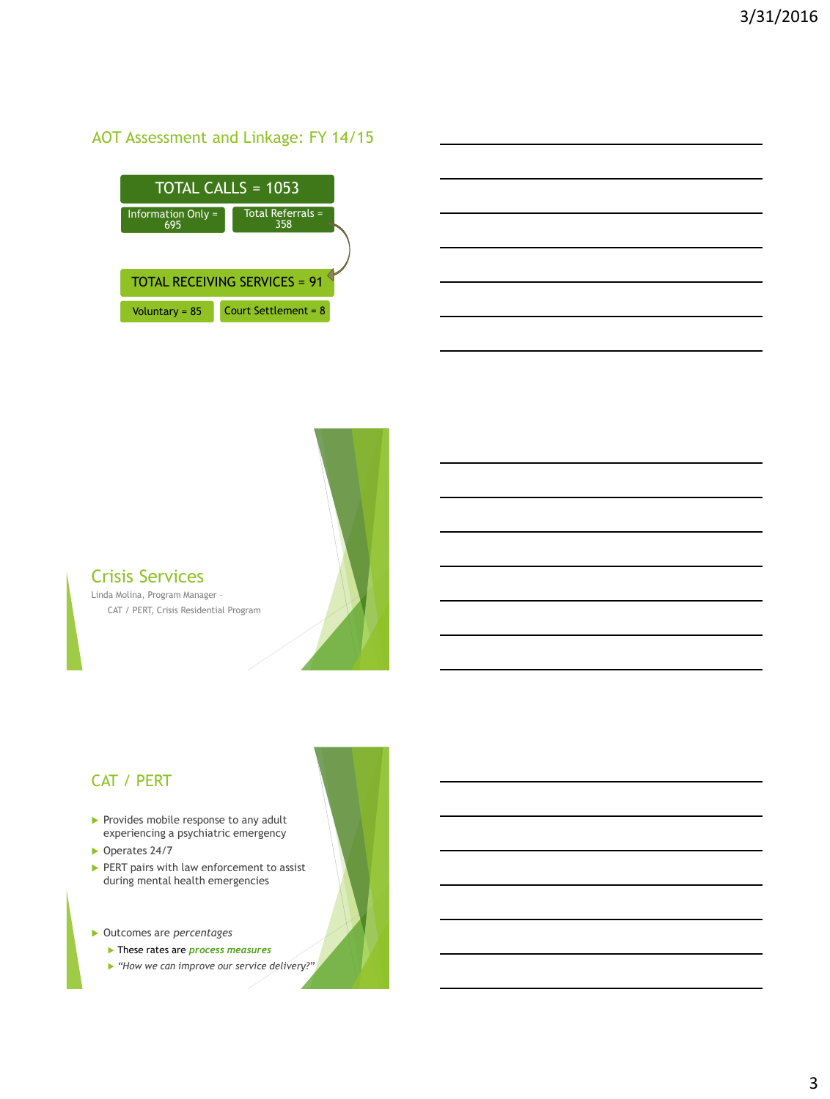### AOT Assessment and Linkage: FY 14/15

| $TOTAL CALLS = 1053$                 |                            |  |
|--------------------------------------|----------------------------|--|
| Information Only =<br>695            | Total Referrals $=$<br>358 |  |
|                                      |                            |  |
| <b>TOTAL RECEIVING SERVICES = 91</b> |                            |  |
| Voluntary = $85$                     | Court Settlement = $8$     |  |



Linda Molina, Program Manager – CAT / PERT, Crisis Residential Program

#### CAT / PERT

- $\blacktriangleright$  Provides mobile response to any adult experiencing a psychiatric emergency
- ▶ Operates 24/7
- PERT pairs with law enforcement to assist during mental health emergencies
- Outcomes are *percentages*
	- These rates are *process measures*
	- *"How we can improve our service delivery?"*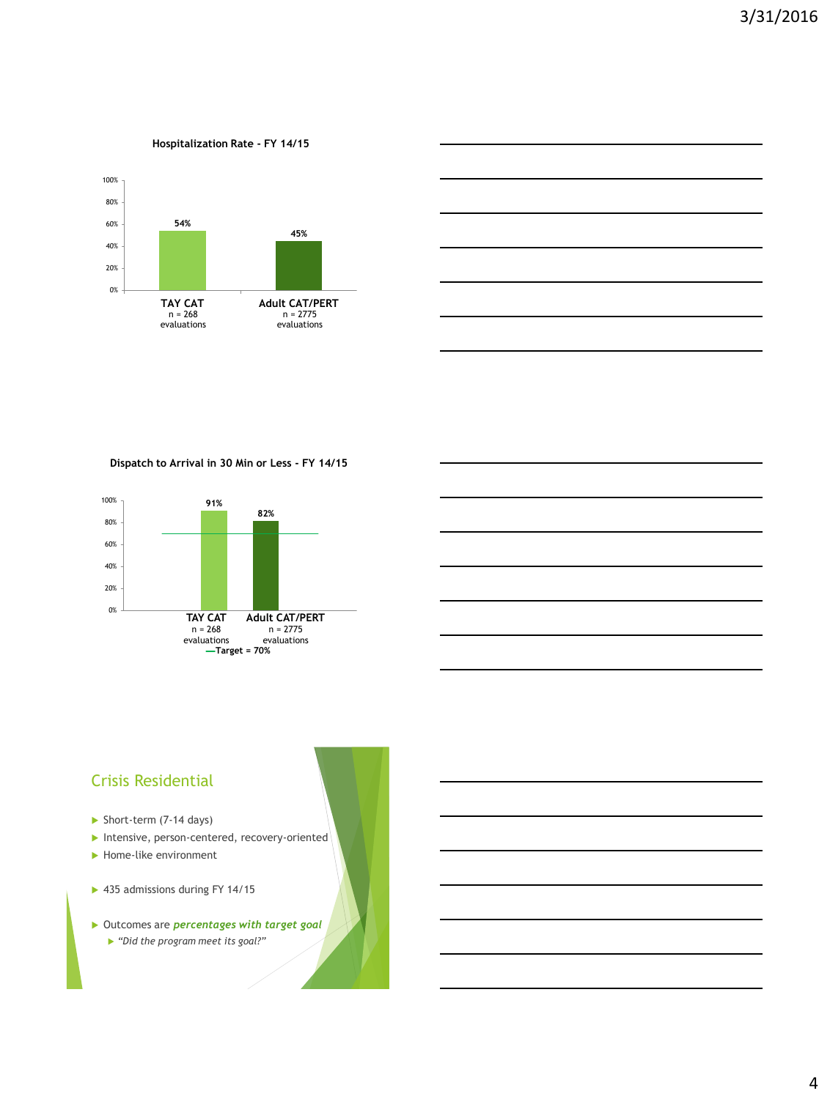#### **Hospitalization Rate - FY 14/15**





**Dispatch to Arrival in 30 Min or Less - FY 14/15**



#### Crisis Residential

- Short-term (7-14 days)
- Intensive, person-centered, recovery-oriented
- Home-like environment
- ▶ 435 admissions during FY 14/15
- Outcomes are *percentages with target goal*
	- *"Did the program meet its goal?"*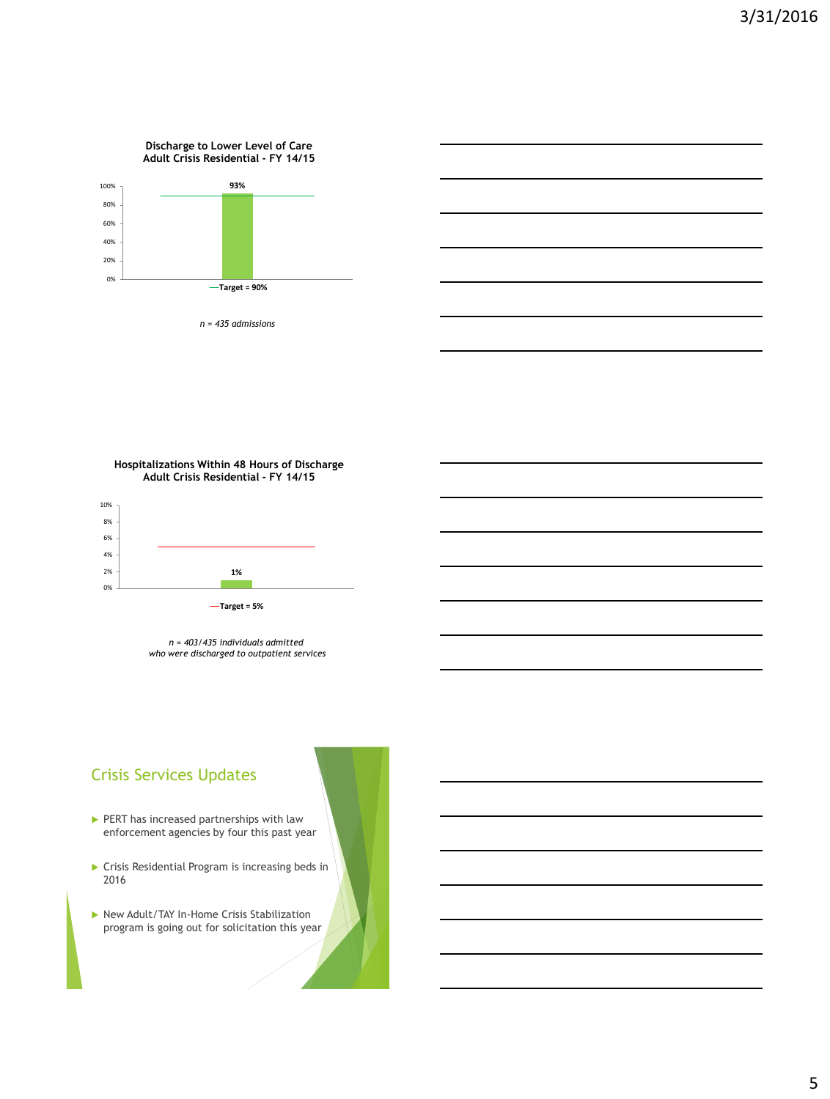#### **Discharge to Lower Level of Care Adult Crisis Residential - FY 14/15**



*n = 435 admissions*

**Hospitalizations Within 48 Hours of Discharge Adult Crisis Residential - FY 14/15**



*n = 403/435 individuals admitted who were discharged to outpatient services*

### Crisis Services Updates

- PERT has increased partnerships with law enforcement agencies by four this past year
- Crisis Residential Program is increasing beds in 2016
- ▶ New Adult/TAY In-Home Crisis Stabilization program is going out for solicitation this year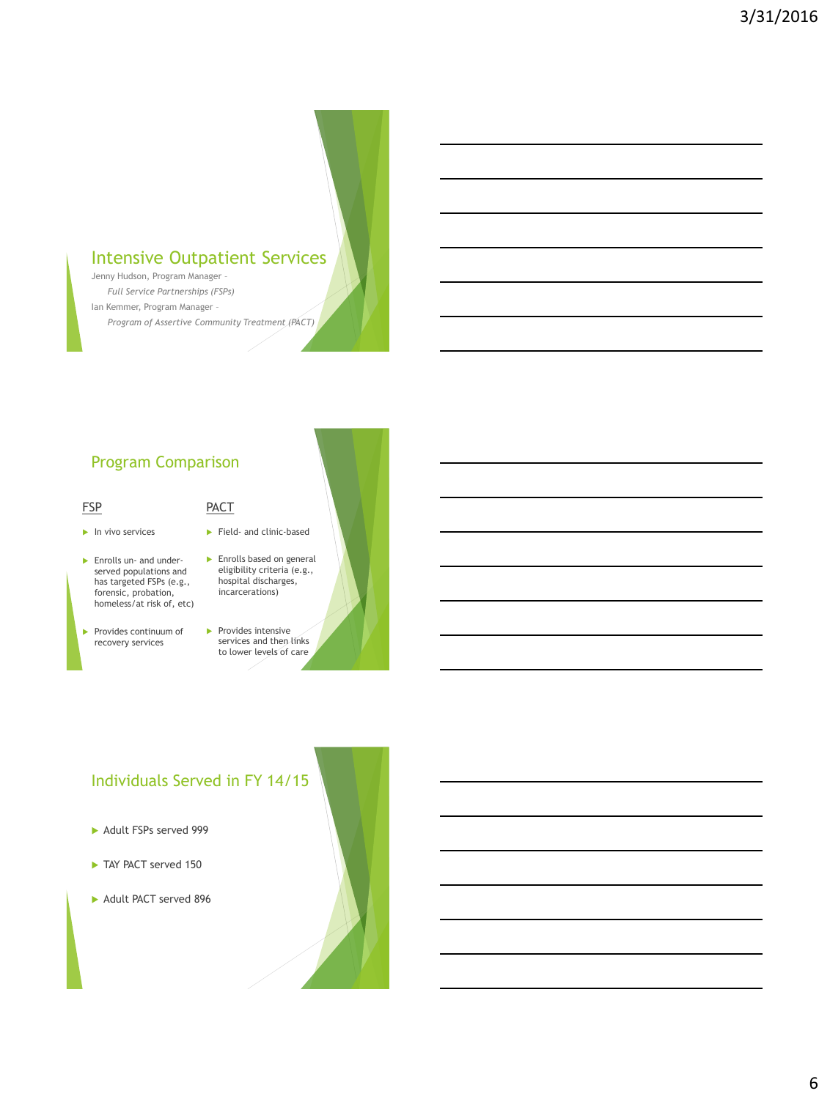# Intensive Outpatient Services

Jenny Hudson, Program Manager – *Full Service Partnerships (FSPs)* Ian Kemmer, Program Manager – *Program of Assertive Community Treatment (PACT)*

### Program Comparison

#### FSP

- $\blacktriangleright$  In vivo services
- **Enrolls un- and under**served populations and has targeted FSPs (e.g., forensic, probation, homeless/at risk of, etc)
- Provides continuum of recovery services
- **Enrolls based on general** eligibility criteria (e.g., hospital discharges, incarcerations)

Field- and clinic-based

PACT

 $\blacktriangleright$  Provides intensive services and then links to lower levels of care

#### Individuals Served in FY 14/15

- Adult FSPs served 999
- TAY PACT served 150
- Adult PACT served 896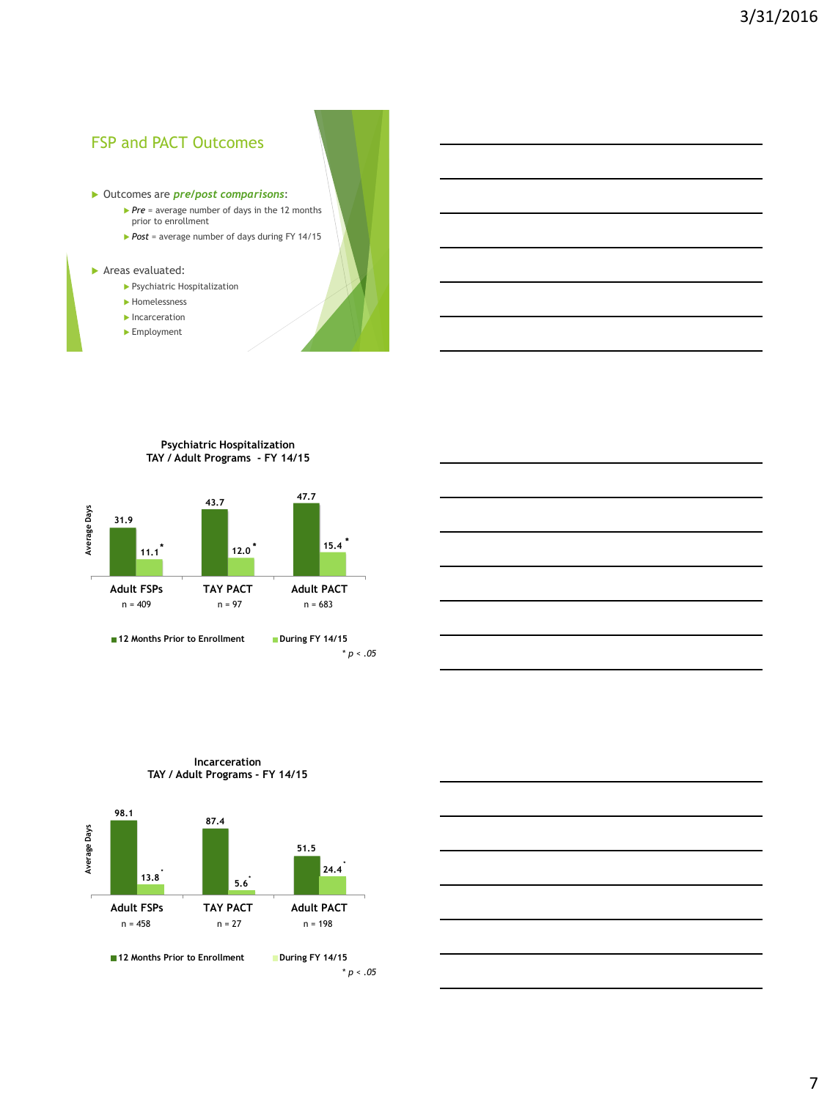#### FSP and PACT Outcomes

#### Outcomes are *pre/post comparisons*:

- *Pre* = average number of days in the 12 months prior to enrollment
- *Post* = average number of days during FY 14/15

#### **Areas evaluated:**

- Psychiatric Hospitalization
- **Homelessness**
- $\blacktriangleright$  Incarceration
- ► Employment

#### **Psychiatric Hospitalization TAY / Adult Programs - FY 14/15**





#### **Incarceration TAY / Adult Programs - FY 14/15**



**12 Months Prior to Enrollment During FY 14/15** 

\* *p < .05*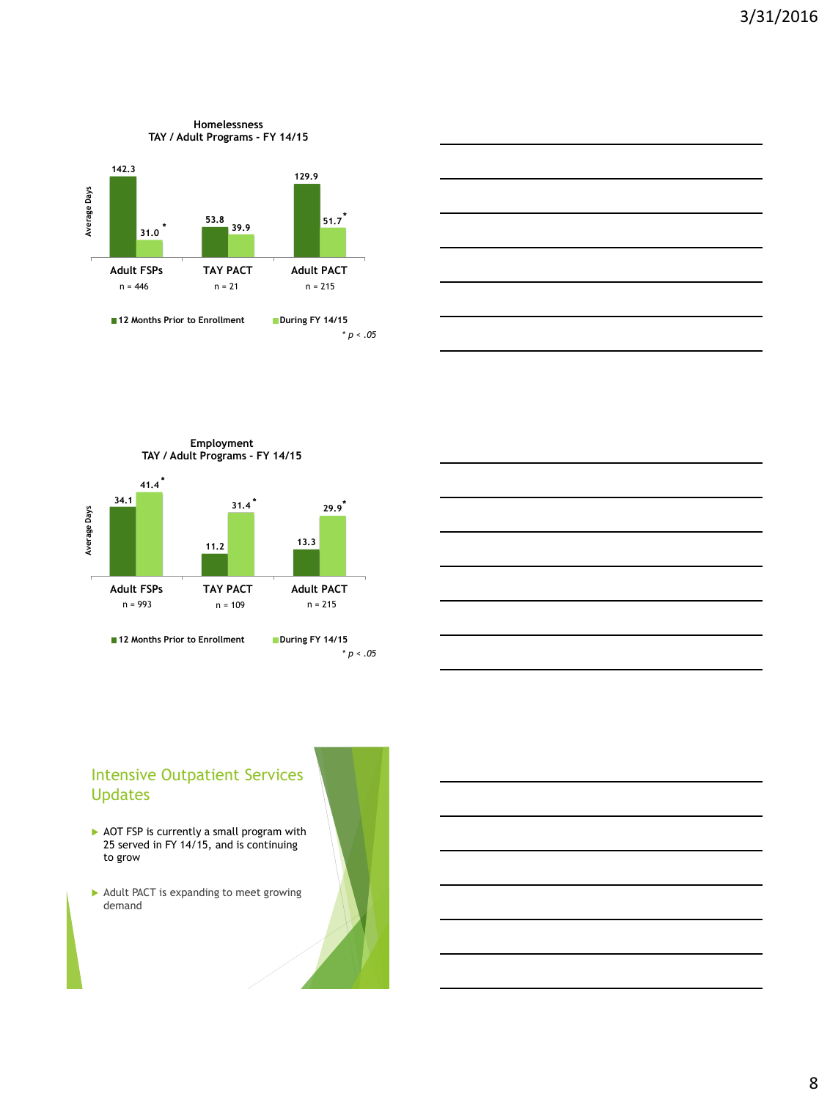



**Employment TAY / Adult Programs - FY 14/15**





### Intensive Outpatient Services Updates

- AOT FSP is currently a small program with 25 served in FY 14/15, and is continuing to grow
- $\blacktriangleright$  Adult PACT is expanding to meet growing demand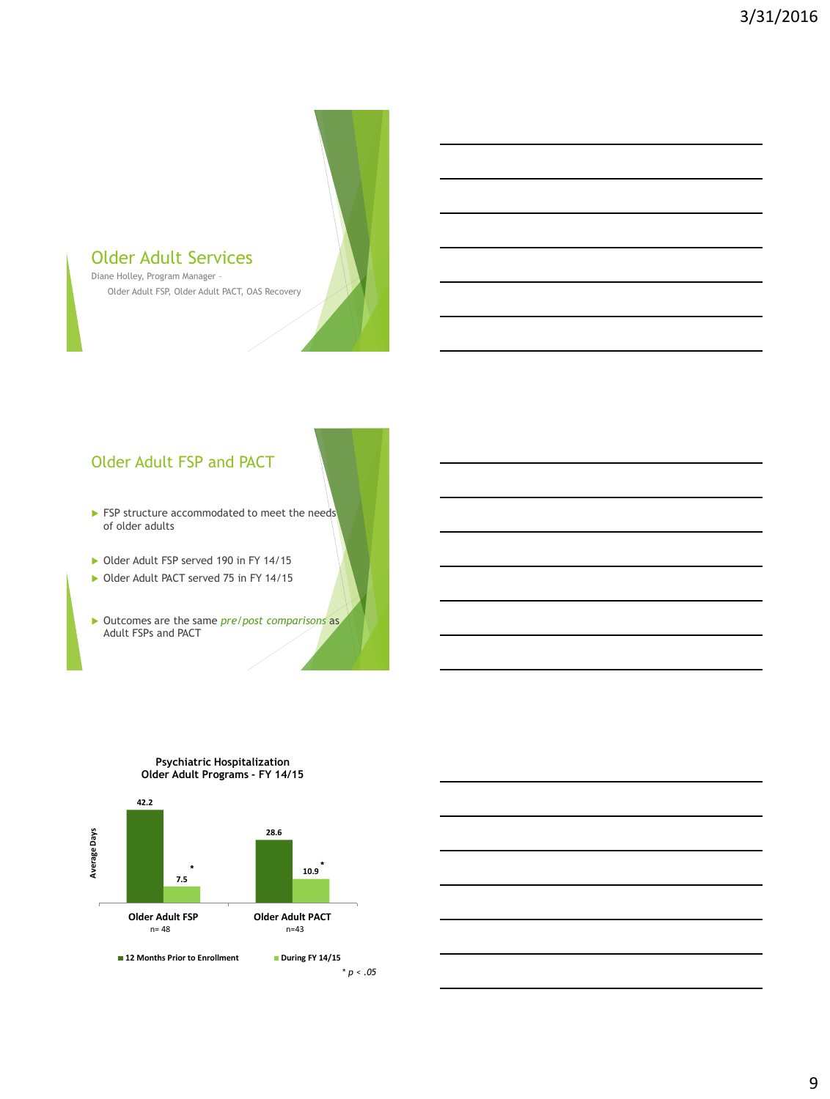# Older Adult Services

Diane Holley, Program Manager – Older Adult FSP, Older Adult PACT, OAS Recovery

### Older Adult FSP and PACT

- **FSP** structure accommodated to meet the needs of older adults
- Older Adult FSP served 190 in FY 14/15
- Older Adult PACT served 75 in FY 14/15
- Outcomes are the same *pre/post comparisons* as Adult FSPs and PACT



#### **Psychiatric Hospitalization Older Adult Programs - FY 14/15**

<sup>\*</sup> *p < .05*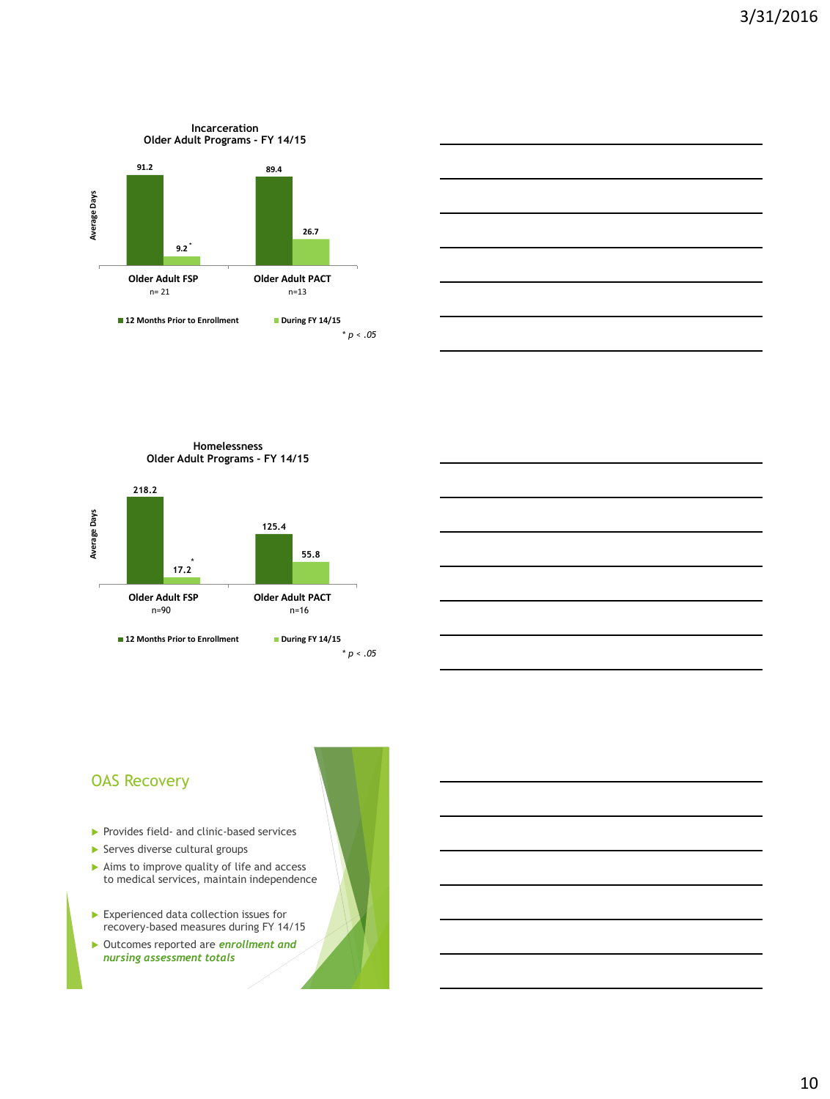



**Homelessness Older Adult Programs - FY 14/15**



#### OAS Recovery

- Provides field- and clinic-based services
- $\blacktriangleright$  Serves diverse cultural groups
- $\blacktriangleright$  Aims to improve quality of life and access to medical services, maintain independence
- Experienced data collection issues for recovery-based measures during FY 14/15
- Outcomes reported are *enrollment and nursing assessment totals*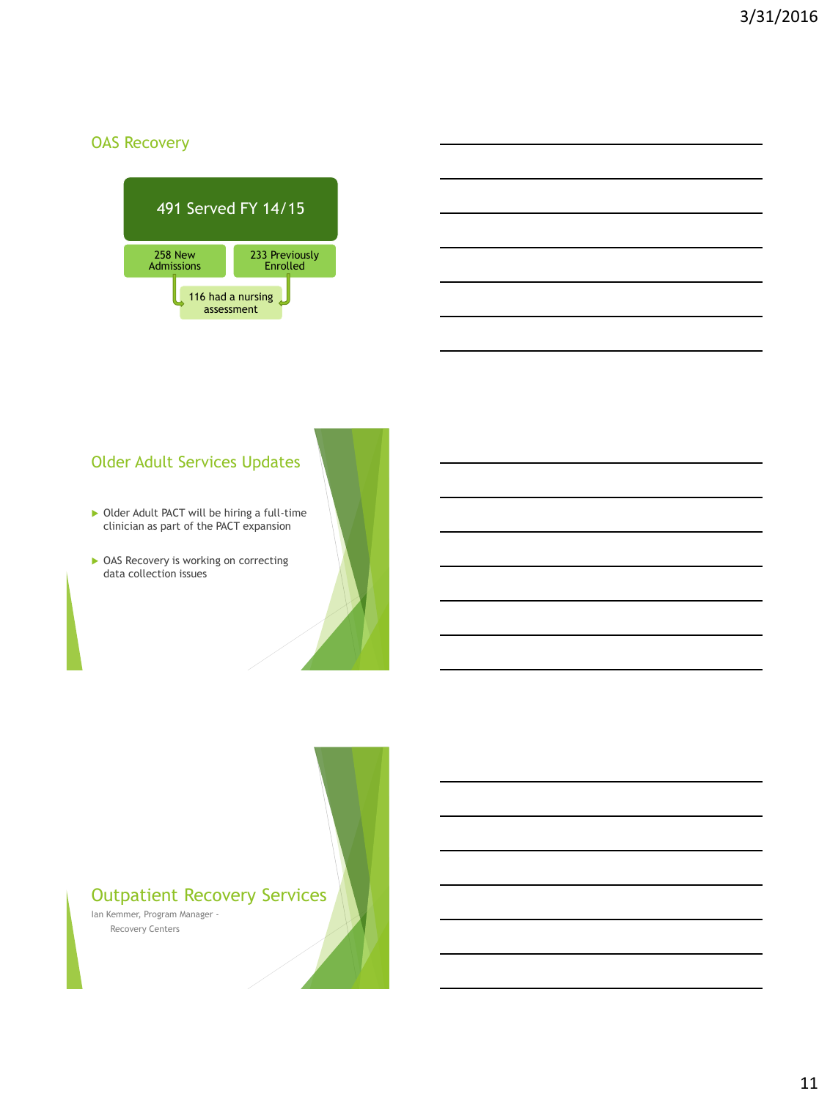### OAS Recovery



### Older Adult Services Updates

- ▶ Older Adult PACT will be hiring a full-time clinician as part of the PACT expansion
- ▶ OAS Recovery is working on correcting data collection issues

### Outpatient Recovery Services

Ian Kemmer, Program Manager - Recovery Centers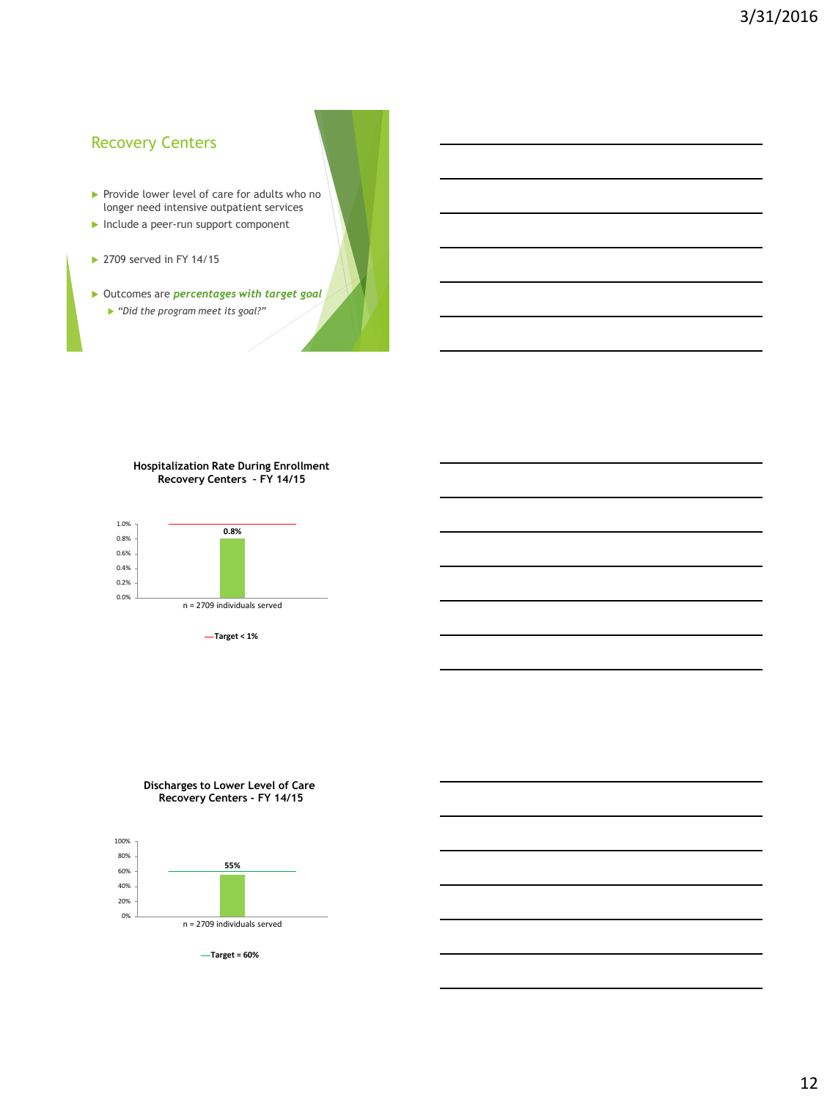#### Recovery Centers

- Provide lower level of care for adults who no longer need intensive outpatient services
- Include a peer-run support component
- ▶ 2709 served in FY 14/15
- Outcomes are *percentages with target goal "Did the program meet its goal?"*

#### **Hospitalization Rate During Enrollment Recovery Centers – FY 14/15**



**Target < 1%**

#### **Discharges to Lower Level of Care Recovery Centers - FY 14/15**



**Target = 60%**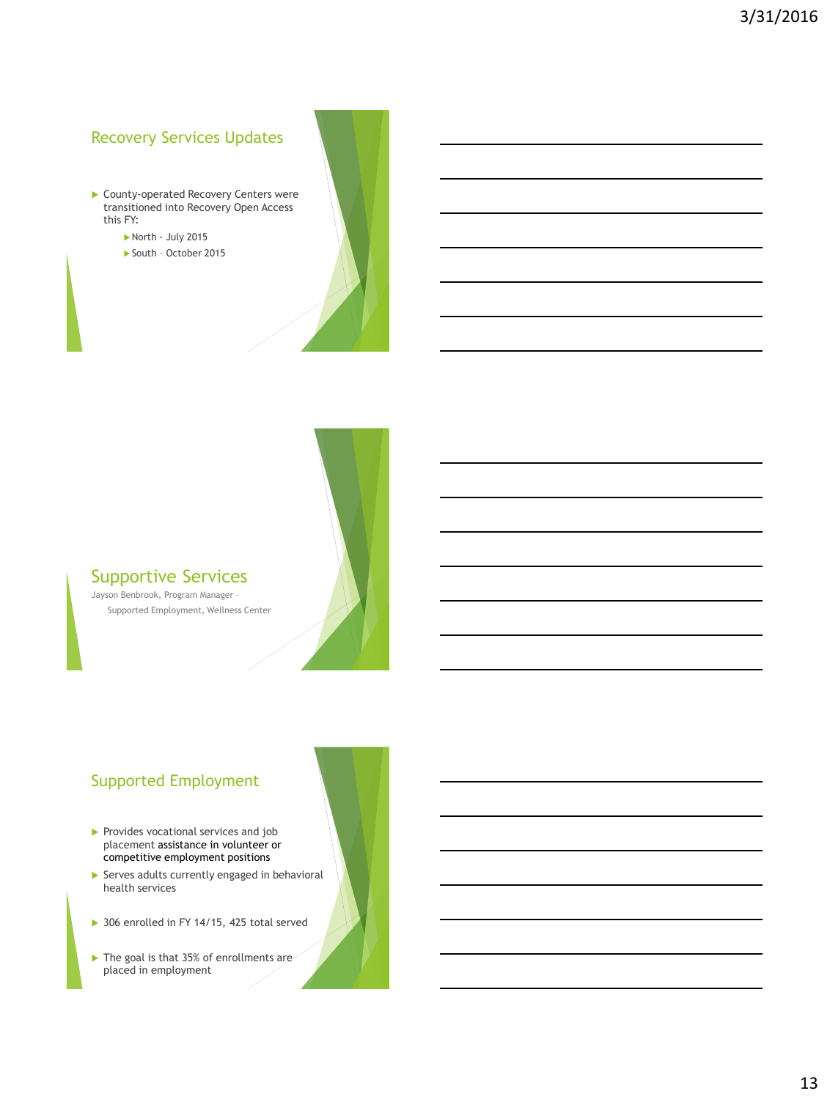### Recovery Services Updates

- **County-operated Recovery Centers were** transitioned into Recovery Open Access this FY:
	- North July 2015
	- South October 2015



#### Supportive Services

Jayson Benbrook, Program Manager – Supported Employment, Wellness Center

### Supported Employment

- Provides vocational services and job placement assistance in volunteer or competitive employment positions
- $\blacktriangleright$  Serves adults currently engaged in behavioral health services
- ▶ 306 enrolled in FY 14/15, 425 total served
- ▶ The goal is that 35% of enrollments are placed in employment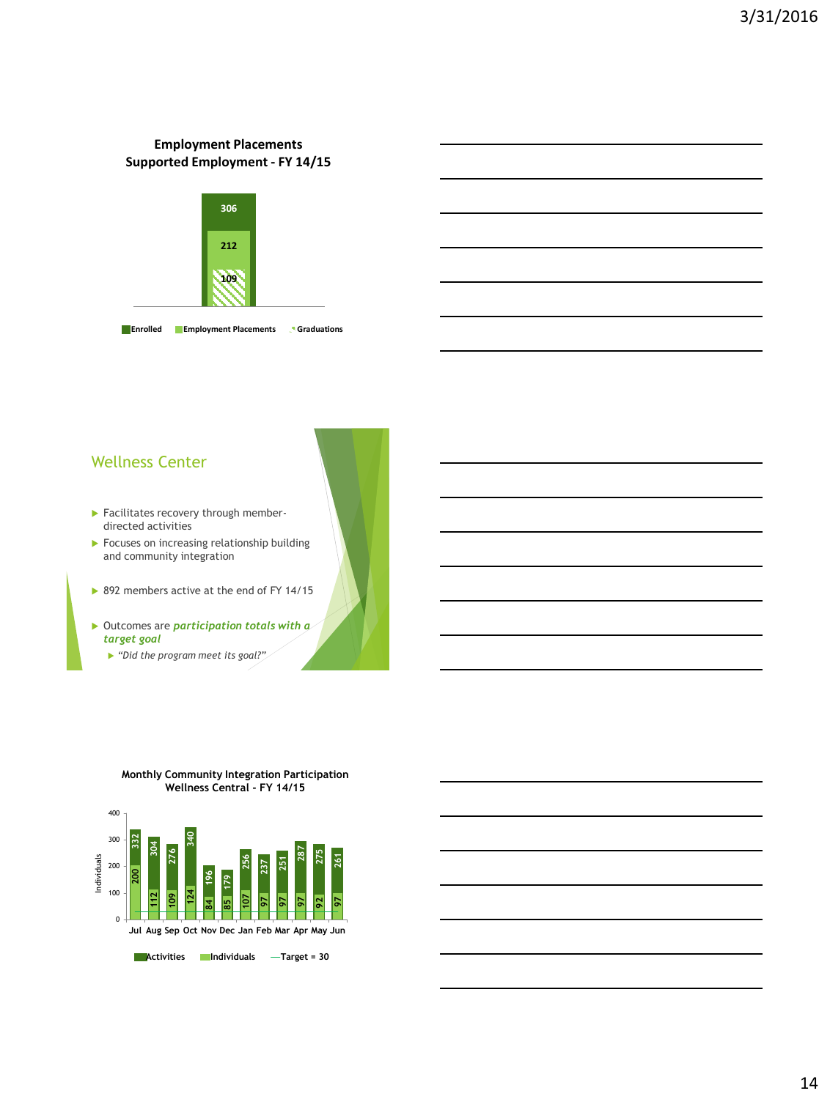#### **Employment Placements Supported Employment - FY 14/15**



**Enrolled Employment Placements Graduations**

#### Wellness Center

- Facilitates recovery through memberdirected activities
- **Focuses on increasing relationship building** and community integration

▶ 892 members active at the end of FY 14/15

- Outcomes are *participation totals with a target goal*
	- *"Did the program meet its goal?"*



**Monthly Community Integration Participation Wellness Central - FY 14/15**

**Activities** Individuals **— Target = 30**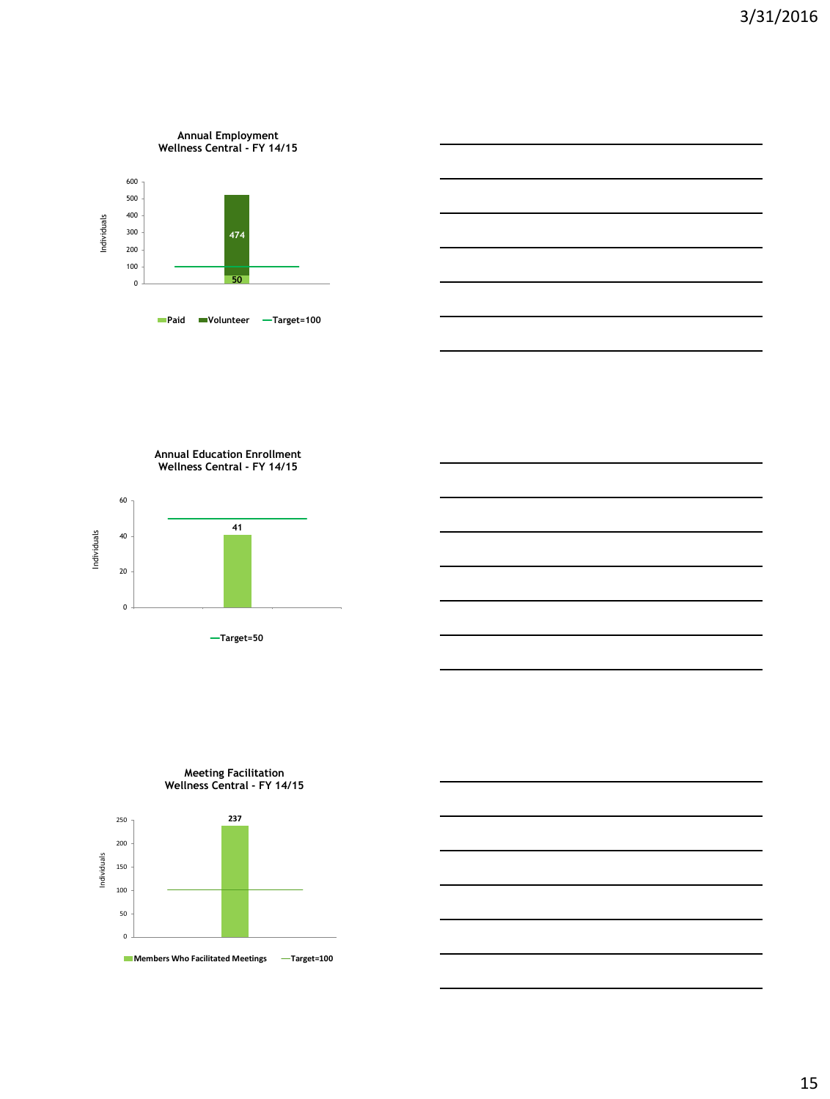

**Annual Education Enrollment Wellness Central - FY 14/15**



**Target=50**

**Meeting Facilitation**



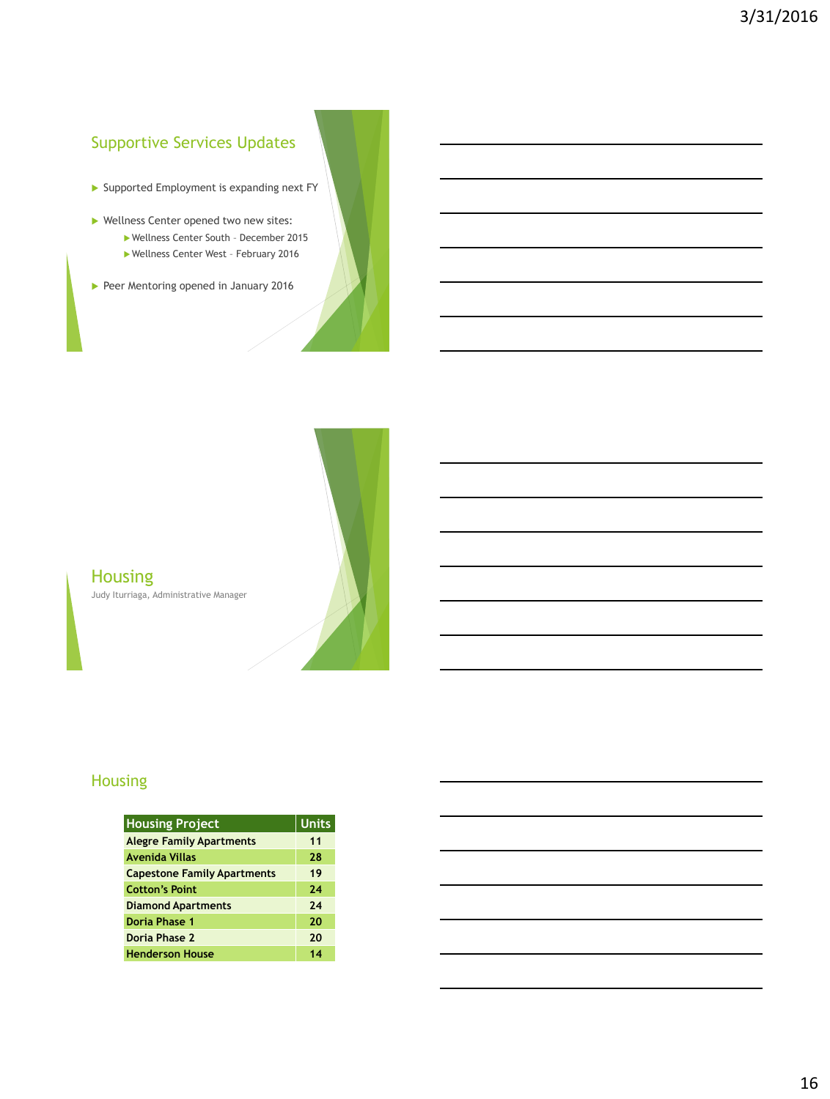# Supportive Services Updates

- Supported Employment is expanding next FY
- ▶ Wellness Center opened two new sites:
	- Wellness Center South December 2015
	- Wellness Center West February 2016
- Peer Mentoring opened in January 2016



# **Housing** Judy Iturriaga, Administrative Manager

### Housing

| <b>Housing Project</b>             | <b>Units</b> |
|------------------------------------|--------------|
| <b>Alegre Family Apartments</b>    | 11           |
| Avenida Villas                     | 28           |
| <b>Capestone Family Apartments</b> | 19           |
| <b>Cotton's Point</b>              | 24           |
| <b>Diamond Apartments</b>          | 24           |
| Doria Phase 1                      | 20           |
| Doria Phase 2                      | 20           |
| <b>Henderson House</b>             | 14           |